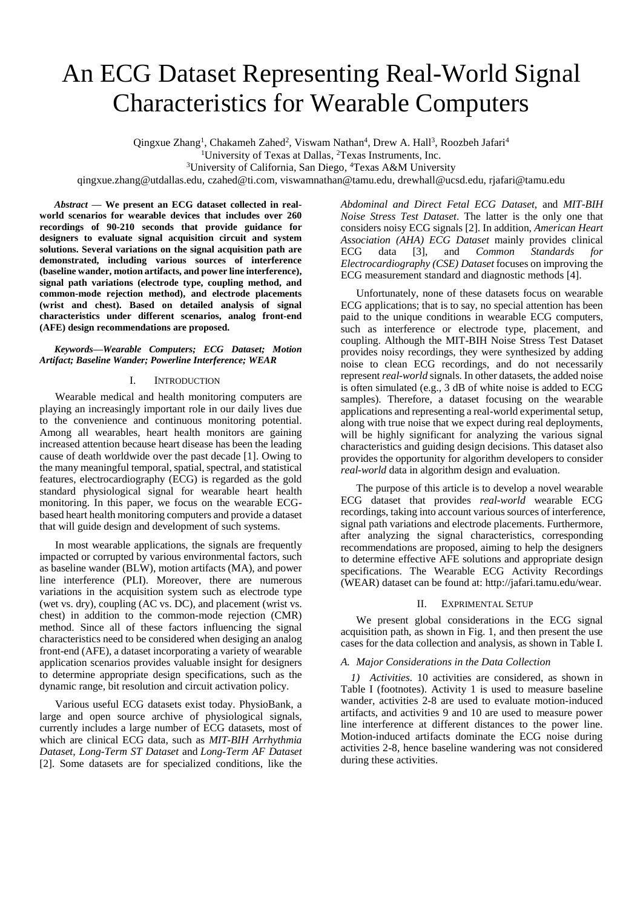# An ECG Dataset Representing Real-World Signal Characteristics for Wearable Computers

Qingxue Zhang<sup>1</sup>, Chakameh Zahed<sup>2</sup>, Viswam Nathan<sup>4</sup>, Drew A. Hall<sup>3</sup>, Roozbeh Jafari<sup>4</sup>

<sup>1</sup>University of Texas at Dallas, <sup>2</sup>Texas Instruments, Inc.

<sup>3</sup>University of California, San Diego, <sup>4</sup>Texas A&M University

qingxue.zhang@utdallas.edu, czahed@ti.com, viswamnathan@tamu.edu, drewhall@ucsd.edu, rjafari@tamu.edu

*Abstract* **— We present an ECG dataset collected in realworld scenarios for wearable devices that includes over 260 recordings of 90-210 seconds that provide guidance for designers to evaluate signal acquisition circuit and system solutions. Several variations on the signal acquisition path are demonstrated, including various sources of interference (baseline wander, motion artifacts, and power line interference), signal path variations (electrode type, coupling method, and common-mode rejection method), and electrode placements (wrist and chest). Based on detailed analysis of signal characteristics under different scenarios, analog front-end (AFE) design recommendations are proposed.**

# *Keywords—Wearable Computers; ECG Dataset; Motion Artifact; Baseline Wander; Powerline Interference; WEAR*

#### I. INTRODUCTION

Wearable medical and health monitoring computers are playing an increasingly important role in our daily lives due to the convenience and continuous monitoring potential. Among all wearables, heart health monitors are gaining increased attention because heart disease has been the leading cause of death worldwide over the past decade [1]. Owing to the many meaningful temporal, spatial, spectral, and statistical features, electrocardiography (ECG) is regarded as the gold standard physiological signal for wearable heart health monitoring. In this paper, we focus on the wearable ECGbased heart health monitoring computers and provide a dataset that will guide design and development of such systems.

In most wearable applications, the signals are frequently impacted or corrupted by various environmental factors, such as baseline wander (BLW), motion artifacts (MA), and power line interference (PLI). Moreover, there are numerous variations in the acquisition system such as electrode type (wet vs. dry), coupling (AC vs. DC), and placement (wrist vs. chest) in addition to the common-mode rejection (CMR) method. Since all of these factors influencing the signal characteristics need to be considered when desiging an analog front-end (AFE), a dataset incorporating a variety of wearable application scenarios provides valuable insight for designers to determine appropriate design specifications, such as the dynamic range, bit resolution and circuit activation policy.

Various useful ECG datasets exist today. PhysioBank, a large and open source archive of physiological signals, currently includes a large number of ECG datasets, most of which are clinical ECG data, such as *MIT-BIH Arrhythmia Dataset*, *Long-Term ST Dataset* and *[Long-Term AF Dataset](http://physionet.org/physiobank/database/ltafdb/)* [2]. Some datasets are for specialized conditions, like the

*[Abdominal and Direct Fetal ECG Dataset](http://physionet.org/physiobank/database/adfecgdb/)*, and *[MIT-BIH](http://physionet.org/physiobank/database/nstdb/)  [Noise Stress Test Dataset](http://physionet.org/physiobank/database/nstdb/)*. The latter is the only one that considers noisy ECG signals [2]. In addition, *American Heart Association (AHA) ECG Dataset* mainly provides clinical ECG data [3], and *Common Standards for Electrocardiography (CSE) Dataset* focuses on improving the ECG measurement standard and diagnostic methods [4].

Unfortunately, none of these datasets focus on wearable ECG applications; that is to say, no special attention has been paid to the unique conditions in wearable ECG computers, such as interference or electrode type, placement, and coupling. Although the [MIT-BIH Noise Stress Test Dataset](http://physionet.org/physiobank/database/nstdb/) provides noisy recordings, they were synthesized by adding noise to clean ECG recordings, and do not necessarily represent *real-world* signals. In other datasets, the added noise is often simulated (e.g., 3 dB of white noise is added to ECG samples). Therefore, a dataset focusing on the wearable applications and representing a real-world experimental setup, along with true noise that we expect during real deployments, will be highly significant for analyzing the various signal characteristics and guiding design decisions. This dataset also provides the opportunity for algorithm developers to consider *real-world* data in algorithm design and evaluation.

The purpose of this article is to develop a novel wearable ECG dataset that provides *real-world* wearable ECG recordings, taking into account various sources of interference, signal path variations and electrode placements. Furthermore, after analyzing the signal characteristics, corresponding recommendations are proposed, aiming to help the designers to determine effective AFE solutions and appropriate design specifications. The Wearable ECG Activity Recordings (WEAR) dataset can be found at: http://jafari.tamu.edu/wear.

#### II. EXPRIMENTAL SETUP

We present global considerations in the ECG signal acquisition path, as shown in Fig. 1, and then present the use cases for the data collection and analysis, as shown in Table I.

#### *A. Major Considerations in the Data Collection*

*1) Activities.* 10 activities are considered, as shown in Table I (footnotes). Activity 1 is used to measure baseline wander, activities 2-8 are used to evaluate motion-induced artifacts, and activities 9 and 10 are used to measure power line interference at different distances to the power line. Motion-induced artifacts dominate the ECG noise during activities 2-8, hence baseline wandering was not considered during these activities.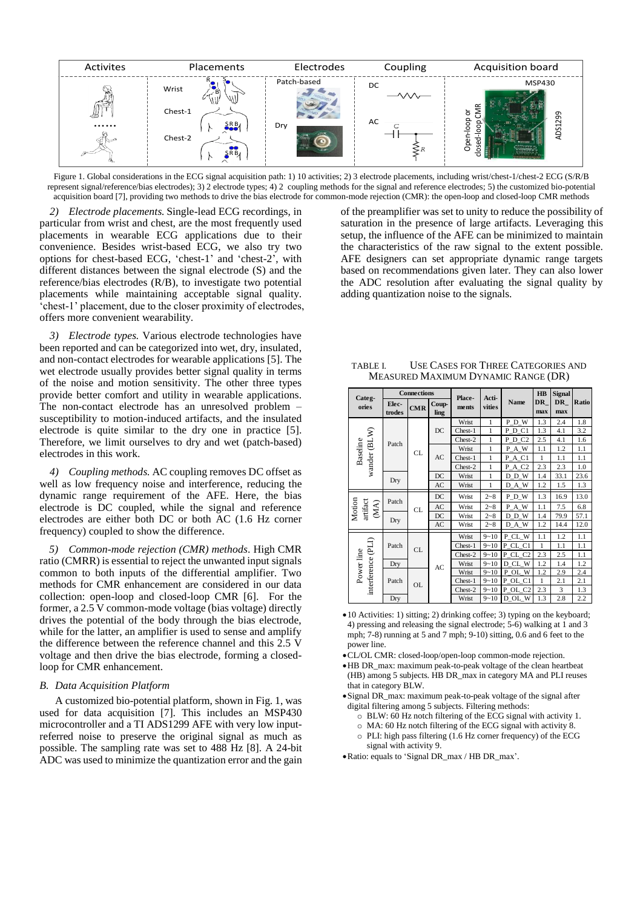

Figure 1. Global considerations in the ECG signal acquisition path: 1) 10 activities; 2) 3 electrode placements, including wrist/chest-1/chest-2 ECG (S/R/B represent signal/reference/bias electrodes); 3) 2 electrode types; 4) 2 coupling methods for the signal and reference electrodes; 5) the customized bio-potential acquisition board [7], providing two methods to drive the bias electrode for common-mode rejection (CMR): the open-loop and closed-loop CMR methods

*2) Electrode placements.* Single-lead ECG recordings, in particular from wrist and chest, are the most frequently used placements in wearable ECG applications due to their convenience. Besides wrist-based ECG, we also try two options for chest-based ECG, 'chest-1' and 'chest-2', with different distances between the signal electrode (S) and the reference/bias electrodes (R/B), to investigate two potential placements while maintaining acceptable signal quality. 'chest-1' placement, due to the closer proximity of electrodes, offers more convenient wearability.

*3) Electrode types.* Various electrode technologies have been reported and can be categorized into wet, dry, insulated, and non-contact electrodes for wearable applications [5]. The wet electrode usually provides better signal quality in terms of the noise and motion sensitivity. The other three types provide better comfort and utility in wearable applications. The non-contact electrode has an unresolved problem – susceptibility to motion-induced artifacts, and the insulated electrode is quite similar to the dry one in practice [5]. Therefore, we limit ourselves to dry and wet (patch-based) electrodes in this work.

*4) Coupling methods.* AC coupling removes DC offset as well as low frequency noise and interference, reducing the dynamic range requirement of the AFE. Here, the bias electrode is DC coupled, while the signal and reference electrodes are either both DC or both AC (1.6 Hz corner frequency) coupled to show the difference.

*5) Common-mode rejection (CMR) methods*. High CMR ratio (CMRR) is essential to reject the unwanted input signals common to both inputs of the differential amplifier. Two methods for CMR enhancement are considered in our data collection: open-loop and closed-loop CMR [6]. For the former, a 2.5 V common-mode voltage (bias voltage) directly drives the potential of the body through the bias electrode, while for the latter, an amplifier is used to sense and amplify the difference between the reference channel and this 2.5 V voltage and then drive the bias electrode, forming a closedloop for CMR enhancement.

### *B. Data Acquisition Platform*

A customized bio-potential platform, shown in Fig. 1, was used for data acquisition [7]. This includes an MSP430 microcontroller and a TI ADS1299 AFE with very low inputreferred noise to preserve the original signal as much as possible. The sampling rate was set to 488 Hz [8]. A 24-bit ADC was used to minimize the quantization error and the gain of the preamplifier was set to unity to reduce the possibility of saturation in the presence of large artifacts. Leveraging this setup, the influence of the AFE can be minimized to maintain the characteristics of the raw signal to the extent possible. AFE designers can set appropriate dynamic range targets based on recommendations given later. They can also lower the ADC resolution after evaluating the signal quality by adding quantization noise to the signals.

| Categ-<br>ories                  | <b>Connections</b> |            |               | Place-  |                 |                     | H B       | <b>Signal</b>    |       |
|----------------------------------|--------------------|------------|---------------|---------|-----------------|---------------------|-----------|------------------|-------|
|                                  | Elec-<br>trodes    | <b>CMR</b> | Coup-<br>ling | ments   | Acti-<br>vities | Name                | DR<br>max | <b>DR</b><br>max | Ratio |
| wander (BLW)<br>Baseline         | Patch              | CL         | DC            | Wrist   | $\mathbf{1}$    | PDW                 | 1.3       | 2.4              | 1.8   |
|                                  |                    |            |               | Chest-1 | 1               | $P\_D\_C1$          | 1.3       | 4.1              | 3.2   |
|                                  |                    |            |               | Chest-2 | 1               | PDC <sub>2</sub>    | 2.5       | 4.1              | 1.6   |
|                                  |                    |            | AC            | Wrist   | $\mathbf{1}$    | P_A_W               | 1.1       | 1.2              | 1.1   |
|                                  |                    |            |               | Chest-1 | 1               | PAC1                | 1         | 1.1              | 1.1   |
|                                  |                    |            |               | Chest-2 | $\mathbf{1}$    | P A C <sub>2</sub>  | 2.3       | 2.3              | 1.0   |
|                                  | Dry                |            | DC            | Wrist   | $\mathbf{1}$    | $D_D_W$             | 1.4       | 33.1             | 23.6  |
|                                  |                    |            | AC            | Wrist   | 1               | D_A_W               | 1.2       | 1.5              | 1.3   |
| Motion<br>artifact<br>(MA)       | Patch              | <b>CL</b>  | DC            | Wrist   | $2 - 8$         | PDW                 | 1.3       | 16.9             | 13.0  |
|                                  |                    |            | AC            | Wrist   | $2 - 8$         | P A W               | 1.1       | 7.5              | 6.8   |
|                                  | Dry                |            | DC            | Wrist   | $2 - 8$         | DDW                 | 1.4       | 79.9             | 57.1  |
|                                  |                    |            | AC            | Wrist   | $2 - 8$         | D_A_W               | 1.2       | 14.4             | 12.0  |
| interference (PLI)<br>Power line | Patch              | CL         | AC            | Wrist   | $9 - 10$        | P CL W              | 1.1       | 1.2              | 1.1   |
|                                  |                    |            |               | Chest-1 | $9 - 10$        | P CL_C1             | 1         | 1.1              | 1.1   |
|                                  |                    |            |               | Chest-2 | $9 - 10$        | P CL C <sub>2</sub> | 2.3       | 2.5              | 1.1   |
|                                  | Dry                |            |               | Wrist   | $9 - 10$        | D CL W              | 1.2       | 1.4              | 1.2   |
|                                  | Patch              | <b>OL</b>  |               | Wrist   | $9 - 10$        | P<br>OL W           | 1.2       | 2.9              | 2.4   |
|                                  |                    |            |               | Chest-1 | $9 - 10$        | P<br>OL C1          | 1         | 2.1              | 2.1   |
|                                  |                    |            |               | Chest-2 | $9 - 10$        | P OL C <sub>2</sub> | 2.3       | 3                | 1.3   |
|                                  | Dry                |            |               | Wrist   | $9 - 10$        | D OL W              | 1.3       | 2.8              | 2.2   |

| TABLE I. | USE CASES FOR THREE CATEGORIES AND  |
|----------|-------------------------------------|
|          | MEASURED MAXIMUM DYNAMIC RANGE (DR) |

10 Activities: 1) sitting; 2) drinking coffee; 3) typing on the keyboard; 4) pressing and releasing the signal electrode; 5-6) walking at 1 and 3 mph; 7-8) running at 5 and 7 mph; 9-10) sitting, 0.6 and 6 feet to the power line.

CL/OL CMR: closed-loop/open-loop common-mode rejection.

HB DR\_max: maximum peak-to-peak voltage of the clean heartbeat (HB) among 5 subjects. HB DR\_max in category MA and PLI reuses that in category BLW.

Signal DR\_max: maximum peak-to-peak voltage of the signal after digital filtering among 5 subjects. Filtering methods:

- o BLW: 60 Hz notch filtering of the ECG signal with activity 1.
- o MA: 60 Hz notch filtering of the ECG signal with activity 8.
- o PLI: high pass filtering (1.6 Hz corner frequency) of the ECG signal with activity 9.

Ratio: equals to 'Signal DR\_max / HB DR\_max'.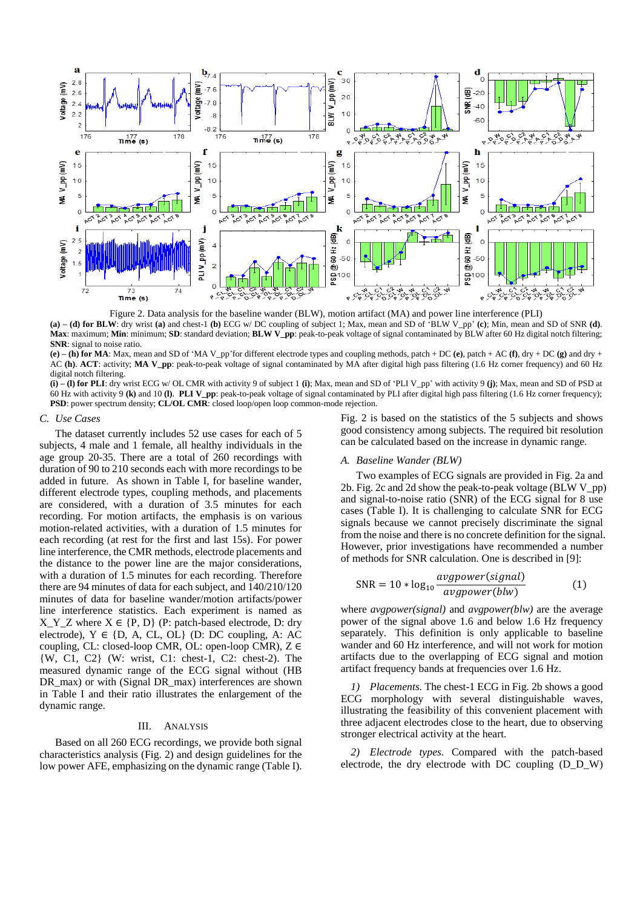

Figure 2. Data analysis for the baseline wander (BLW), motion artifact (MA) and power line interference (PLI) **(a) – (d) for BLW**: dry wrist **(a)** and chest-1 **(b)** ECG w/ DC coupling of subject 1; Max, mean and SD of 'BLW V\_pp' **(c)**; Min, mean and SD of SNR **(d)**.

**Max**: maximum; **Min**: minimum; **SD**: standard deviation; **BLW V\_pp**: peak-to-peak voltage of signal contaminated by BLW after 60 Hz digital notch filtering; **SNR**: signal to noise ratio.

**(e) – (h) for MA**: Max, mean and SD of 'MA V\_pp'for different electrode types and coupling methods, patch + DC **(e)**, patch + AC **(f)**, dry + DC **(g)** and dry + AC **(h)**. **ACT**: activity; **MA V\_pp**: peak-to-peak voltage of signal contaminated by MA after digital high pass filtering (1.6 Hz corner frequency) and 60 Hz digital notch filtering.

**(i) – (l) for PLI**: dry wrist ECG w/ OL CMR with activity 9 of subject 1 **(i)**; Max, mean and SD of 'PLI V\_pp' with activity 9 **(j)**; Max, mean and SD of PSD at 60 Hz with activity 9 **(k)** and 10 **(l)**. **PLI V\_pp**: peak-to-peak voltage of signal contaminated by PLI after digital high pass filtering (1.6 Hz corner frequency); **PSD**: power spectrum density; **CL/OL CMR**: closed loop/open loop common-mode rejection.

# *C. Use Cases*

The dataset currently includes 52 use cases for each of 5 subjects, 4 male and 1 female, all healthy individuals in the age group 20-35. There are a total of 260 recordings with duration of 90 to 210 seconds each with more recordings to be added in future. As shown in Table I, for baseline wander, different electrode types, coupling methods, and placements are considered, with a duration of 3.5 minutes for each recording. For motion artifacts, the emphasis is on various motion-related activities, with a duration of 1.5 minutes for each recording (at rest for the first and last 15s). For power line interference, the CMR methods, electrode placements and the distance to the power line are the major considerations, with a duration of 1.5 minutes for each recording. Therefore there are 94 minutes of data for each subject, and 140/210/120 minutes of data for baseline wander/motion artifacts/power line interference statistics. Each experiment is named as  $X_Y_Z$  where  $X \in \{P, D\}$  (P: patch-based electrode, D: dry electrode),  $Y \in \{D, A, CL, OL\}$  (D: DC coupling, A: AC coupling, CL: closed-loop CMR, OL: open-loop CMR), Z ∈ {W, C1, C2} (W: wrist, C1: chest-1, C2: chest-2). The measured dynamic range of the ECG signal without (HB DR\_max) or with (Signal DR\_max) interferences are shown in Table I and their ratio illustrates the enlargement of the dynamic range.

#### III. ANALYSIS

Based on all 260 ECG recordings, we provide both signal characteristics analysis (Fig. 2) and design guidelines for the low power AFE, emphasizing on the dynamic range (Table I).

Fig. 2 is based on the statistics of the 5 subjects and shows good consistency among subjects. The required bit resolution can be calculated based on the increase in dynamic range.

#### *A. Baseline Wander (BLW)*

Two examples of ECG signals are provided in Fig. 2a and 2b. Fig. 2c and 2d show the peak-to-peak voltage (BLW V\_pp) and signal-to-noise ratio (SNR) of the ECG signal for 8 use cases (Table I). It is challenging to calculate SNR for ECG signals because we cannot precisely discriminate the signal from the noise and there is no concrete definition for the signal. However, prior investigations have recommended a number of methods for SNR calculation. One is described in [9]:

$$
SNR = 10 * log_{10} \frac{avgpower(signal)}{avgpower(blw)}
$$
 (1)

where *avgpower(signal)* and *avgpower(blw)* are the average power of the signal above 1.6 and below 1.6 Hz frequency separately. This definition is only applicable to baseline wander and 60 Hz interference, and will not work for motion artifacts due to the overlapping of ECG signal and motion artifact frequency bands at frequencies over 1.6 Hz.

*1) Placements.* The chest-1 ECG in Fig. 2b shows a good ECG morphology with several distinguishable waves, illustrating the feasibility of this convenient placement with three adjacent electrodes close to the heart, due to observing stronger electrical activity at the heart.

*2) Electrode types.* Compared with the patch-based electrode, the dry electrode with DC coupling (D\_D\_W)